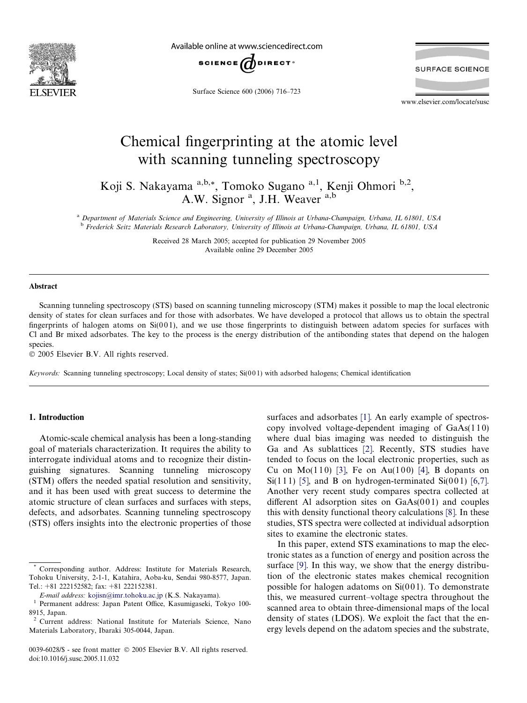

Available online at www.sciencedirect.com



Surface Science 600 (2006) 716–723

**SURFACE SCIENCE** 

www.elsevier.com/locate/susc

# Chemical fingerprinting at the atomic level with scanning tunneling spectroscopy

Koji S. Nakayama <sup>a,b,\*</sup>, Tomoko Sugano <sup>a,1</sup>, Kenji Ohmori <sup>b,2</sup>, A.W. Signor<sup>a</sup>, J.H. Weaver<sup>a,b</sup>

<sup>a</sup> Department of Materials Science and Engineering, University of Illinois at Urbana-Champaign, Urbana, IL 61801, USA <sup>b</sup> Frederick Seitz Materials Research Laboratory, University of Illinois at Urbana-Champaign, Urbana, IL 61801, USA

> Received 28 March 2005; accepted for publication 29 November 2005 Available online 29 December 2005

#### Abstract

Scanning tunneling spectroscopy (STS) based on scanning tunneling microscopy (STM) makes it possible to map the local electronic density of states for clean surfaces and for those with adsorbates. We have developed a protocol that allows us to obtain the spectral fingerprints of halogen atoms on  $Si(001)$ , and we use those fingerprints to distinguish between adatom species for surfaces with Cl and Br mixed adsorbates. The key to the process is the energy distribution of the antibonding states that depend on the halogen species.

2005 Elsevier B.V. All rights reserved.

Keywords: Scanning tunneling spectroscopy; Local density of states; Si(001) with adsorbed halogens; Chemical identification

### 1. Introduction

Atomic-scale chemical analysis has been a long-standing goal of materials characterization. It requires the ability to interrogate individual atoms and to recognize their distinguishing signatures. Scanning tunneling microscopy (STM) offers the needed spatial resolution and sensitivity, and it has been used with great success to determine the atomic structure of clean surfaces and surfaces with steps, defects, and adsorbates. Scanning tunneling spectroscopy (STS) offers insights into the electronic properties of those surfaces and adsorbates [\[1\].](#page-6-0) An early example of spectroscopy involved voltage-dependent imaging of  $GaAs(110)$ where dual bias imaging was needed to distinguish the Ga and As sublattices [\[2\]](#page-6-0). Recently, STS studies have tended to focus on the local electronic properties, such as Cu on Mo(110) [\[3\]](#page-6-0), Fe on Au(100) [\[4\],](#page-6-0) B dopants on Si(111) [\[5\]](#page-6-0), and B on hydrogen-terminated Si(001) [\[6,7\]](#page-6-0). Another very recent study compares spectra collected at different Al adsorption sites on  $GaAs(001)$  and couples this with density functional theory calculations [\[8\].](#page-6-0) In these studies, STS spectra were collected at individual adsorption sites to examine the electronic states.

In this paper, extend STS examinations to map the electronic states as a function of energy and position across the surface [\[9\].](#page-6-0) In this way, we show that the energy distribution of the electronic states makes chemical recognition possible for halogen adatoms on  $Si(001)$ . To demonstrate this, we measured current–voltage spectra throughout the scanned area to obtain three-dimensional maps of the local density of states (LDOS). We exploit the fact that the energy levels depend on the adatom species and the substrate,

Corresponding author. Address: Institute for Materials Research, Tohoku University, 2-1-1, Katahira, Aoba-ku, Sendai 980-8577, Japan. Tel.: +81 222152582; fax: +81 222152381.

E-mail address: [kojisn@imr.tohoku.ac.jp](mailto:kojisn@imr.tohoku.ac.jp) (K.S. Nakayama). <sup>1</sup> Permanent address: Japan Patent Office, Kasumigaseki, Tokyo 100- 8915, Japan.

<sup>2</sup> Current address: National Institute for Materials Science, Nano Materials Laboratory, Ibaraki 305-0044, Japan.

<sup>0039-6028/\$ -</sup> see front matter © 2005 Elsevier B.V. All rights reserved. doi:10.1016/j.susc.2005.11.032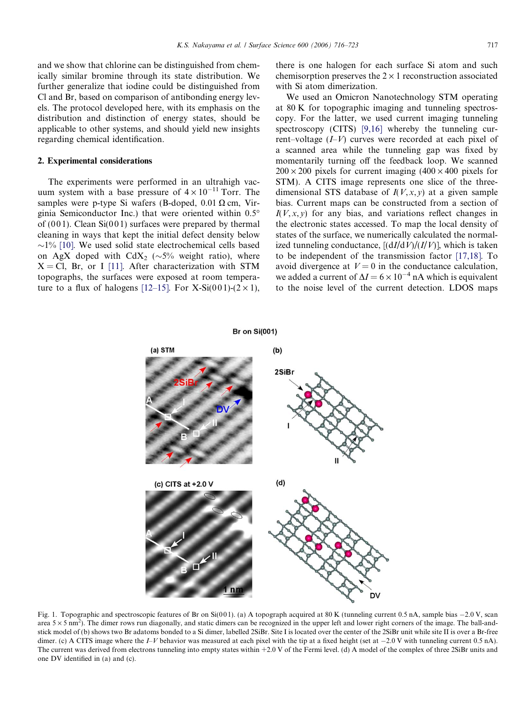<span id="page-1-0"></span>and we show that chlorine can be distinguished from chemically similar bromine through its state distribution. We further generalize that iodine could be distinguished from Cl and Br, based on comparison of antibonding energy levels. The protocol developed here, with its emphasis on the distribution and distinction of energy states, should be applicable to other systems, and should yield new insights regarding chemical identification.

#### 2. Experimental considerations

The experiments were performed in an ultrahigh vacuum system with a base pressure of  $4 \times 10^{-11}$  Torr. The samples were p-type Si wafers (B-doped,  $0.01 \Omega$  cm, Virginia Semiconductor Inc.) that were oriented within 0.5 of  $(001)$ . Clean Si $(001)$  surfaces were prepared by thermal cleaning in ways that kept the initial defect density below  $\sim$ 1% [\[10\].](#page-6-0) We used solid state electrochemical cells based on AgX doped with  $CdX_2$  ( $\sim$ 5% weight ratio), where  $X = Cl$ , Br, or I [\[11\]](#page-6-0). After characterization with STM topographs, the surfaces were exposed at room tempera-ture to a flux of halogens [\[12–15\]](#page-6-0). For X-Si(001)-(2  $\times$  1), there is one halogen for each surface Si atom and such chemisorption preserves the  $2 \times 1$  reconstruction associated with Si atom dimerization.

We used an Omicron Nanotechnology STM operating at 80 K for topographic imaging and tunneling spectroscopy. For the latter, we used current imaging tunneling spectroscopy (CITS) [\[9,16\]](#page-6-0) whereby the tunneling current–voltage  $(I-V)$  curves were recorded at each pixel of a scanned area while the tunneling gap was fixed by momentarily turning off the feedback loop. We scanned  $200 \times 200$  pixels for current imaging  $(400 \times 400)$  pixels for STM). A CITS image represents one slice of the threedimensional STS database of  $I(V, x, y)$  at a given sample bias. Current maps can be constructed from a section of  $I(V, x, y)$  for any bias, and variations reflect changes in the electronic states accessed. To map the local density of states of the surface, we numerically calculated the normalized tunneling conductance,  $[(dI/dV)/(I/V)]$ , which is taken to be independent of the transmission factor [\[17,18\]](#page-6-0). To avoid divergence at  $V = 0$  in the conductance calculation, we added a current of  $\Delta I = 6 \times 10^{-4}$  nA which is equivalent to the noise level of the current detection. LDOS maps



Fig. 1. Topographic and spectroscopic features of Br on Si(001). (a) A topograph acquired at 80 K (tunneling current 0.5 nA, sample bias  $-2.0$  V, scan area  $5 \times 5$  nm<sup>2</sup>). The dimer rows run diagonally, and static dimers can be recognized in the upper left and lower right corners of the image. The ball-andstick model of (b) shows two Br adatoms bonded to a Si dimer, labelled 2SiBr. Site I is located over the center of the 2SiBr unit while site II is over a Br-free dimer. (c) A CITS image where the I–V behavior was measured at each pixel with the tip at a fixed height (set at  $-2.0$  V with tunneling current 0.5 nA). The current was derived from electrons tunneling into empty states within  $+2.0$  V of the Fermi level. (d) A model of the complex of three 2SiBr units and one DV identified in (a) and (c).

## **Br on Si(001)**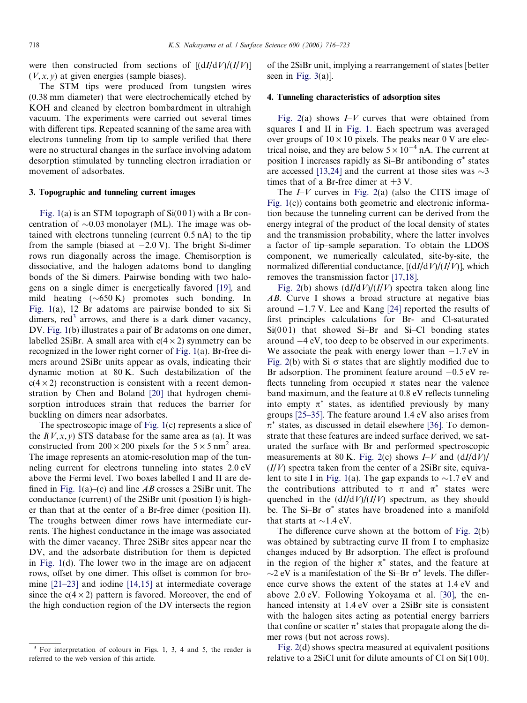were then constructed from sections of  $[(dI/dV)/(I/V)]$  $(V, x, y)$  at given energies (sample biases).

The STM tips were produced from tungsten wires (0.38 mm diameter) that were electrochemically etched by KOH and cleaned by electron bombardment in ultrahigh vacuum. The experiments were carried out several times with different tips. Repeated scanning of the same area with electrons tunneling from tip to sample verified that there were no structural changes in the surface involving adatom desorption stimulated by tunneling electron irradiation or movement of adsorbates.

#### 3. Topographic and tunneling current images

[Fig. 1](#page-1-0)(a) is an STM topograph of  $Si(001)$  with a Br concentration of  $\sim 0.03$  monolayer (ML). The image was obtained with electrons tunneling (current 0.5 nA) to the tip from the sample (biased at  $-2.0$  V). The bright Si-dimer rows run diagonally across the image. Chemisorption is dissociative, and the halogen adatoms bond to dangling bonds of the Si dimers. Pairwise bonding with two halogens on a single dimer is energetically favored [\[19\]](#page-6-0), and mild heating  $(\sim 650 \text{ K})$  promotes such bonding. In [Fig. 1\(](#page-1-0)a), 12 Br adatoms are pairwise bonded to six Si dimers,  $\text{red}^3$  arrows, and there is a dark dimer vacancy, DV. [Fig. 1\(](#page-1-0)b) illustrates a pair of Br adatoms on one dimer, labelled 2SiBr. A small area with  $c(4 \times 2)$  symmetry can be recognized in the lower right corner of [Fig. 1\(](#page-1-0)a). Br-free dimers around 2SiBr units appear as ovals, indicating their dynamic motion at 80 K. Such destabilization of the  $c(4 \times 2)$  reconstruction is consistent with a recent demonstration by Chen and Boland [\[20\]](#page-6-0) that hydrogen chemisorption introduces strain that reduces the barrier for buckling on dimers near adsorbates.

The spectroscopic image of [Fig. 1\(](#page-1-0)c) represents a slice of the  $I(V, x, y)$  STS database for the same area as (a). It was constructed from  $200 \times 200$  pixels for the  $5 \times 5$  nm<sup>2</sup> area. The image represents an atomic-resolution map of the tunneling current for electrons tunneling into states 2.0 eV above the Fermi level. Two boxes labelled I and II are de-fined in [Fig. 1\(](#page-1-0)a)–(c) and line  $AB$  crosses a 2SiBr unit. The conductance (current) of the 2SiBr unit (position I) is higher than that at the center of a Br-free dimer (position II). The troughs between dimer rows have intermediate currents. The highest conductance in the image was associated with the dimer vacancy. Three 2SiBr sites appear near the DV, and the adsorbate distribution for them is depicted in [Fig. 1\(](#page-1-0)d). The lower two in the image are on adjacent rows, offset by one dimer. This offset is common for bromine [\[21–23\]](#page-6-0) and iodine [\[14,15\]](#page-6-0) at intermediate coverage since the  $c(4 \times 2)$  pattern is favored. Moreover, the end of the high conduction region of the DV intersects the region

of the 2SiBr unit, implying a rearrangement of states [better seen in [Fig. 3](#page-4-0)(a)].

#### 4. Tunneling characteristics of adsorption sites

[Fig. 2\(](#page-3-0)a) shows  $I-V$  curves that were obtained from squares I and II in [Fig. 1.](#page-1-0) Each spectrum was averaged over groups of  $10 \times 10$  pixels. The peaks near 0 V are electrical noise, and they are below  $5 \times 10^{-4}$  nA. The current at position I increases rapidly as Si-Br antibonding  $\sigma^*$  states are accessed [\[13,24\]](#page-6-0) and the current at those sites was  $\sim$ 3 times that of a Br-free dimer at  $+3$  V.

The  $I-V$  curves in [Fig. 2\(](#page-3-0)a) (also the CITS image of [Fig. 1](#page-1-0)(c)) contains both geometric and electronic information because the tunneling current can be derived from the energy integral of the product of the local density of states and the transmission probability, where the latter involves a factor of tip–sample separation. To obtain the LDOS component, we numerically calculated, site-by-site, the normalized differential conductance,  $[(dI/dV)/(I/V)]$ , which removes the transmission factor [\[17,18\].](#page-6-0)

[Fig. 2\(](#page-3-0)b) shows  $\frac{dI}{dV}$ /(I/V) spectra taken along line AB. Curve I shows a broad structure at negative bias around  $-1.7$  V. Lee and Kang [\[24\]](#page-6-0) reported the results of first principles calculations for Br- and Cl-saturated  $Si(001)$  that showed Si–Br and Si–Cl bonding states around  $-4$  eV, too deep to be observed in our experiments. We associate the peak with energy lower than  $-1.7$  eV in [Fig. 2](#page-3-0)(b) with Si  $\sigma$  states that are slightly modified due to Br adsorption. The prominent feature around  $-0.5$  eV reflects tunneling from occupied  $\pi$  states near the valence band maximum, and the feature at 0.8 eV reflects tunneling into empty  $\pi^*$  states, as identified previously by many groups [\[25–35\]](#page-6-0). The feature around 1.4 eV also arises from  $\pi^*$  states, as discussed in detail elsewhere [\[36\]](#page-7-0). To demonstrate that these features are indeed surface derived, we saturated the surface with Br and performed spectroscopic measurements at 80 K. [Fig. 2\(](#page-3-0)c) shows  $I-V$  and  $\frac{dI}{dV}$  $(I/V)$  spectra taken from the center of a 2SiBr site, equiva-lent to site I in [Fig. 1\(](#page-1-0)a). The gap expands to  $\sim$ 1.7 eV and the contributions attributed to  $\pi$  and  $\pi^*$  states were quenched in the  $\frac{dI}{dV}$ /( $\frac{I}{V}$ ) spectrum, as they should be. The Si–Br  $\sigma^*$  states have broadened into a manifold that starts at  $\sim$ 1.4 eV.

The difference curve shown at the bottom of [Fig. 2\(](#page-3-0)b) was obtained by subtracting curve II from I to emphasize changes induced by Br adsorption. The effect is profound in the region of the higher  $\pi^*$  states, and the feature at  $\sim$ 2 eV is a manifestation of the Si-Br  $\sigma^*$  levels. The difference curve shows the extent of the states at 1.4 eV and above 2.0 eV. Following Yokoyama et al. [\[30\],](#page-6-0) the enhanced intensity at 1.4 eV over a 2SiBr site is consistent with the halogen sites acting as potential energy barriers that confine or scatter  $\pi^*$  states that propagate along the dimer rows (but not across rows).

[Fig. 2](#page-3-0)(d) shows spectra measured at equivalent positions relative to a 2SiCl unit for dilute amounts of Cl on Si(100).

<sup>&</sup>lt;sup>3</sup> For interpretation of colours in Figs. 1, 3, 4 and 5, the reader is referred to the web version of this article.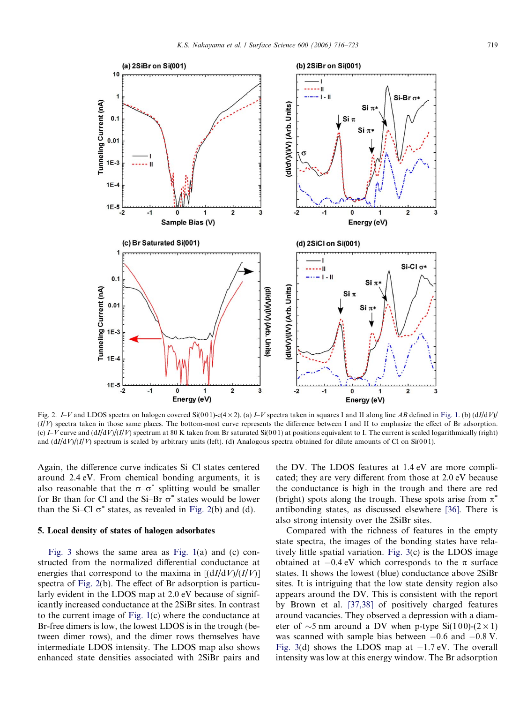<span id="page-3-0"></span>

Fig. 2.  $I-V$  and LDOS spectra on halogen covered Si(001)-c(4 × 2). (a)  $I-V$  spectra taken in squares I and II along line AB defined in [Fig. 1.](#page-1-0) (b) (dI/dV)/  $(I/V)$  spectra taken in those same places. The bottom-most curve represents the difference between I and II to emphasize the effect of Br adsorption. (c)  $I-V$  curve and  $\frac{dI}{dV}$  $\frac{I}{V}$  spectrum at 80 K taken from Br saturated Si(001) at positions equivalent to I. The current is scaled logarithmically (right) and  $\frac{dI}{dV}$  ( $I/V$ ) spectrum is scaled by arbitrary units (left). (d) Analogous spectra obtained for dilute amounts of Cl on Si(001).

Again, the difference curve indicates Si–Cl states centered around 2.4 eV. From chemical bonding arguments, it is also reasonable that the  $\sigma-\sigma^*$  splitting would be smaller for Br than for Cl and the Si-Br  $\sigma^*$  states would be lower than the Si–Cl  $\sigma^*$  states, as revealed in Fig. 2(b) and (d).

#### 5. Local density of states of halogen adsorbates

[Fig. 3](#page-4-0) shows the same area as [Fig. 1\(](#page-1-0)a) and (c) constructed from the normalized differential conductance at energies that correspond to the maxima in  $[(dI/dV)/(I/V)]$ spectra of Fig. 2(b). The effect of Br adsorption is particularly evident in the LDOS map at 2.0 eV because of significantly increased conductance at the 2SiBr sites. In contrast to the current image of [Fig. 1](#page-1-0)(c) where the conductance at Br-free dimers is low, the lowest LDOS is in the trough (between dimer rows), and the dimer rows themselves have intermediate LDOS intensity. The LDOS map also shows enhanced state densities associated with 2SiBr pairs and

the DV. The LDOS features at 1.4 eV are more complicated; they are very different from those at 2.0 eV because the conductance is high in the trough and there are red (bright) spots along the trough. These spots arise from  $\pi^*$ antibonding states, as discussed elsewhere [\[36\].](#page-7-0) There is also strong intensity over the 2SiBr sites.

Compared with the richness of features in the empty state spectra, the images of the bonding states have relatively little spatial variation. [Fig. 3\(](#page-4-0)c) is the LDOS image obtained at  $-0.4$  eV which corresponds to the  $\pi$  surface states. It shows the lowest (blue) conductance above 2SiBr sites. It is intriguing that the low state density region also appears around the DV. This is consistent with the report by Brown et al. [\[37,38\]](#page-7-0) of positively charged features around vacancies. They observed a depression with a diameter of  $\sim$ 5 nm around a DV when p-type Si(100)-(2 × 1) was scanned with sample bias between  $-0.6$  and  $-0.8$  V. [Fig. 3](#page-4-0)(d) shows the LDOS map at  $-1.7$  eV. The overall intensity was low at this energy window. The Br adsorption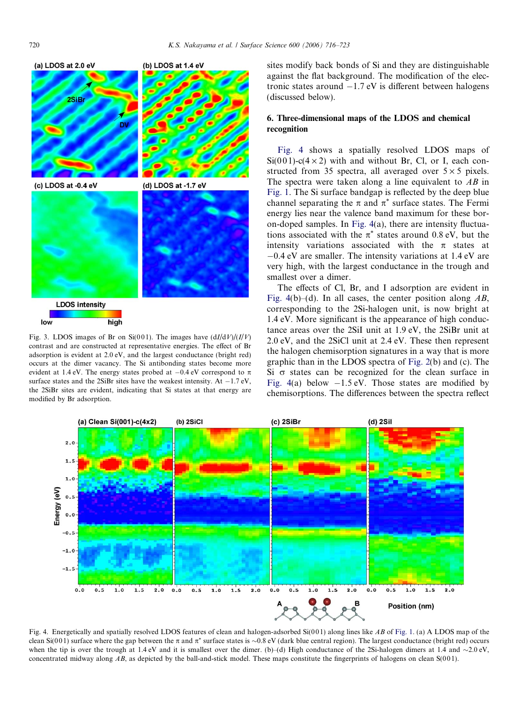<span id="page-4-0"></span>

Fig. 3. LDOS images of Br on Si(001). The images have  $\frac{dI}{dV}$  $\frac{I}{V}$ contrast and are constructed at representative energies. The effect of Br adsorption is evident at 2.0 eV, and the largest conductance (bright red) occurs at the dimer vacancy. The Si antibonding states become more evident at 1.4 eV. The energy states probed at  $-0.4$  eV correspond to  $\pi$ surface states and the 2SiBr sites have the weakest intensity. At  $-1.7 \text{ eV}$ , the 2SiBr sites are evident, indicating that Si states at that energy are modified by Br adsorption.

sites modify back bonds of Si and they are distinguishable against the flat background. The modification of the electronic states around  $-1.7$  eV is different between halogens (discussed below).

# 6. Three-dimensional maps of the LDOS and chemical recognition

Fig. 4 shows a spatially resolved LDOS maps of  $Si(001)$ -c(4 × 2) with and without Br, Cl, or I, each constructed from 35 spectra, all averaged over  $5 \times 5$  pixels. The spectra were taken along a line equivalent to  $AB$  in [Fig. 1](#page-1-0). The Si surface bandgap is reflected by the deep blue channel separating the  $\pi$  and  $\pi^*$  surface states. The Fermi energy lies near the valence band maximum for these boron-doped samples. In Fig. 4(a), there are intensity fluctuations associated with the  $\pi^*$  states around 0.8 eV, but the intensity variations associated with the  $\pi$  states at  $-0.4$  eV are smaller. The intensity variations at 1.4 eV are very high, with the largest conductance in the trough and smallest over a dimer.

The effects of Cl, Br, and I adsorption are evident in Fig. 4(b)–(d). In all cases, the center position along  $AB$ , corresponding to the 2Si-halogen unit, is now bright at 1.4 eV. More significant is the appearance of high conductance areas over the 2SiI unit at 1.9 eV, the 2SiBr unit at 2.0 eV, and the 2SiCl unit at 2.4 eV. These then represent the halogen chemisorption signatures in a way that is more graphic than in the LDOS spectra of [Fig. 2\(](#page-3-0)b) and (c). The Si  $\sigma$  states can be recognized for the clean surface in Fig. 4(a) below  $-1.5$  eV. Those states are modified by chemisorptions. The differences between the spectra reflect



Fig. 4. Energetically and spatially resolved LDOS features of clean and halogen-adsorbed  $Si(001)$  along lines like AB of [Fig. 1](#page-1-0). (a) A LDOS map of the clean Si(001) surface where the gap between the  $\pi$  and  $\pi^*$  surface states is  $\sim 0.8$  eV (dark blue central region). The largest conductance (bright red) occurs when the tip is over the trough at 1.4 eV and it is smallest over the dimer. (b)–(d) High conductance of the 2Si-halogen dimers at 1.4 and  $\sim$ 2.0 eV, concentrated midway along  $AB$ , as depicted by the ball-and-stick model. These maps constitute the fingerprints of halogens on clean  $S(001)$ .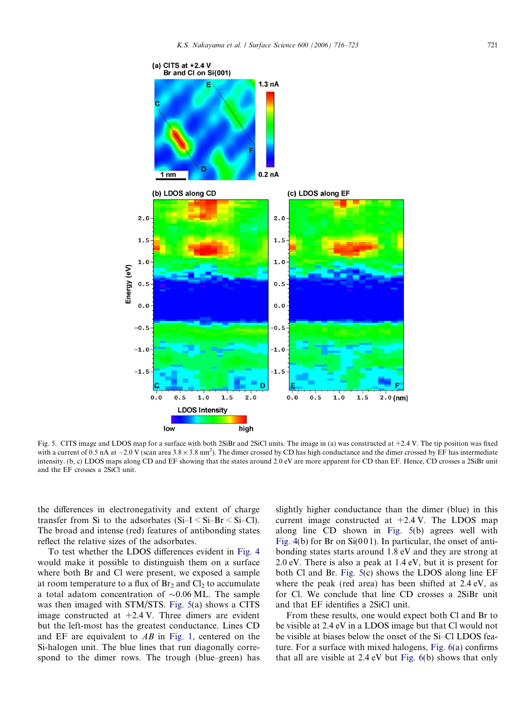

Fig. 5. CITS image and LDOS map for a surface with both 2SiBr and 2SiCl units. The image in (a) was constructed at +2.4 V. The tip position was fixed with a current of 0.5 nA at  $-2.0$  V (scan area  $3.8 \times 3.8$  nm<sup>2</sup>). The dimer crossed by CD has high conductance and the dimer crossed by EF has intermediate intensity. (b, c) LDOS maps along CD and EF showing that the states around 2.0 eV are more apparent for CD than EF. Hence, CD crosses a 2SiBr unit and the EF crosses a 2SiCl unit.

the differences in electronegativity and extent of charge transfer from Si to the adsorbates  $(Si-I < Si-Br < Si-Cl)$ . The broad and intense (red) features of antibonding states reflect the relative sizes of the adsorbates.

To test whether the LDOS differences evident in [Fig. 4](#page-4-0) would make it possible to distinguish them on a surface where both Br and Cl were present, we exposed a sample at room temperature to a flux of  $Br<sub>2</sub>$  and  $Cl<sub>2</sub>$  to accumulate a total adatom concentration of  $\sim 0.06$  ML. The sample was then imaged with STM/STS. Fig. 5(a) shows a CITS image constructed at  $+2.4$  V. Three dimers are evident but the left-most has the greatest conductance. Lines CD and EF are equivalent to AB in [Fig. 1,](#page-1-0) centered on the Si-halogen unit. The blue lines that run diagonally correspond to the dimer rows. The trough (blue–green) has

slightly higher conductance than the dimer (blue) in this current image constructed at  $+2.4$  V. The LDOS map along line CD shown in Fig. 5(b) agrees well with [Fig. 4](#page-4-0)(b) for Br on  $Si(001)$ . In particular, the onset of antibonding states starts around 1.8 eV and they are strong at 2.0 eV. There is also a peak at 1.4 eV, but it is present for both Cl and Br. Fig. 5(c) shows the LDOS along line EF where the peak (red area) has been shifted at 2.4 eV, as for Cl. We conclude that line CD crosses a 2SiBr unit and that EF identifies a 2SiCl unit.

From these results, one would expect both Cl and Br to be visible at 2.4 eV in a LDOS image but that Cl would not be visible at biases below the onset of the Si–Cl LDOS feature. For a surface with mixed halogens, [Fig. 6](#page-6-0)(a) confirms that all are visible at 2.4 eV but [Fig. 6](#page-6-0)(b) shows that only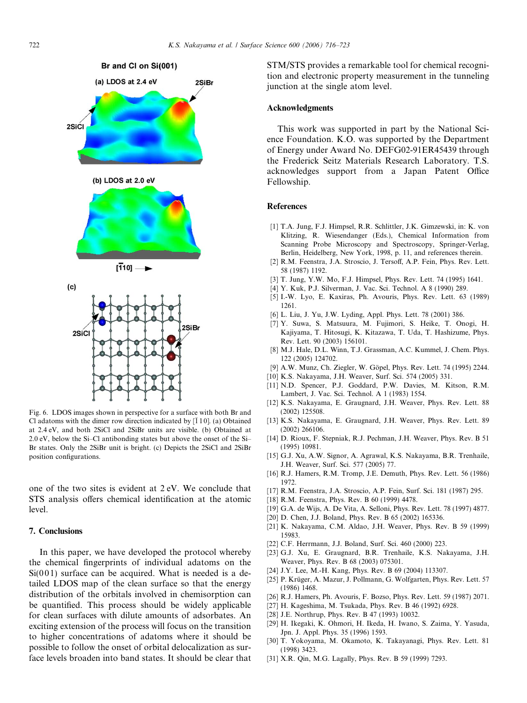<span id="page-6-0"></span>

Fig. 6. LDOS images shown in perspective for a surface with both Br and Cl adatoms with the dimer row direction indicated by  $\left[110\right]$ . (a) Obtained at 2.4 eV, and both 2SiCl and 2SiBr units are visible. (b) Obtained at 2.0 eV, below the Si–Cl antibonding states but above the onset of the Si– Br states. Only the 2SiBr unit is bright. (c) Depicts the 2SiCl and 2SiBr position configurations.

one of the two sites is evident at 2 eV. We conclude that STS analysis offers chemical identification at the atomic level.

## 7. Conclusions

In this paper, we have developed the protocol whereby the chemical fingerprints of individual adatoms on the  $Si(001)$  surface can be acquired. What is needed is a detailed LDOS map of the clean surface so that the energy distribution of the orbitals involved in chemisorption can be quantified. This process should be widely applicable for clean surfaces with dilute amounts of adsorbates. An exciting extension of the process will focus on the transition to higher concentrations of adatoms where it should be possible to follow the onset of orbital delocalization as surface levels broaden into band states. It should be clear that

STM/STS provides a remarkable tool for chemical recognition and electronic property measurement in the tunneling junction at the single atom level.

#### Acknowledgments

This work was supported in part by the National Science Foundation. K.O. was supported by the Department of Energy under Award No. DEFG02-91ER45439 through the Frederick Seitz Materials Research Laboratory. T.S. acknowledges support from a Japan Patent Office Fellowship.

#### References

- [1] T.A. Jung, F.J. Himpsel, R.R. Schlittler, J.K. Gimzewski, in: K. von Klitzing, R. Wiesendanger (Eds.), Chemical Information from Scanning Probe Microscopy and Spectroscopy, Springer-Verlag, Berlin, Heidelberg, New York, 1998, p. 11, and references therein.
- [2] R.M. Feenstra, J.A. Stroscio, J. Tersoff, A.P. Fein, Phys. Rev. Lett. 58 (1987) 1192.
- [3] T. Jung, Y.W. Mo, F.J. Himpsel, Phys. Rev. Lett. 74 (1995) 1641.
- [4] Y. Kuk, P.J. Silverman, J. Vac. Sci. Technol. A 8 (1990) 289.
- [5] I.-W. Lyo, E. Kaxiras, Ph. Avouris, Phys. Rev. Lett. 63 (1989) 1261.
- [6] L. Liu, J. Yu, J.W. Lyding, Appl. Phys. Lett. 78 (2001) 386.
- [7] Y. Suwa, S. Matsuura, M. Fujimori, S. Heike, T. Onogi, H. Kajiyama, T. Hitosugi, K. Kitazawa, T. Uda, T. Hashizume, Phys. Rev. Lett. 90 (2003) 156101.
- [8] M.J. Hale, D.L. Winn, T.J. Grassman, A.C. Kummel, J. Chem. Phys. 122 (2005) 124702.
- [9] A.W. Munz, Ch. Ziegler, W. Göpel, Phys. Rev. Lett. 74 (1995) 2244.
- [10] K.S. Nakayama, J.H. Weaver, Surf. Sci. 574 (2005) 331.
- [11] N.D. Spencer, P.J. Goddard, P.W. Davies, M. Kitson, R.M. Lambert, J. Vac. Sci. Technol. A 1 (1983) 1554.
- [12] K.S. Nakayama, E. Graugnard, J.H. Weaver, Phys. Rev. Lett. 88 (2002) 125508.
- [13] K.S. Nakayama, E. Graugnard, J.H. Weaver, Phys. Rev. Lett. 89 (2002) 266106.
- [14] D. Rioux, F. Stepniak, R.J. Pechman, J.H. Weaver, Phys. Rev. B 51 (1995) 10981.
- [15] G.J. Xu, A.W. Signor, A. Agrawal, K.S. Nakayama, B.R. Trenhaile, J.H. Weaver, Surf. Sci. 577 (2005) 77.
- [16] R.J. Hamers, R.M. Tromp, J.E. Demuth, Phys. Rev. Lett. 56 (1986) 1972.
- [17] R.M. Feenstra, J.A. Stroscio, A.P. Fein, Surf. Sci. 181 (1987) 295.
- [18] R.M. Feenstra, Phys. Rev. B 60 (1999) 4478.
- [19] G.A. de Wijs, A. De Vita, A. Selloni, Phys. Rev. Lett. 78 (1997) 4877.
- [20] D. Chen, J.J. Boland, Phys. Rev. B 65 (2002) 165336.
- [21] K. Nakayama, C.M. Aldao, J.H. Weaver, Phys. Rev. B 59 (1999) 15983.
- [22] C.F. Herrmann, J.J. Boland, Surf. Sci. 460 (2000) 223.
- [23] G.J. Xu, E. Graugnard, B.R. Trenhaile, K.S. Nakayama, J.H. Weaver, Phys. Rev. B 68 (2003) 075301.
- [24] J.Y. Lee, M.-H. Kang, Phys. Rev. B 69 (2004) 113307.
- [25] P. Krüger, A. Mazur, J. Pollmann, G. Wolfgarten, Phys. Rev. Lett. 57 (1986) 1468.
- [26] R.J. Hamers, Ph. Avouris, F. Bozso, Phys. Rev. Lett. 59 (1987) 2071.
- [27] H. Kageshima, M. Tsukada, Phys. Rev. B 46 (1992) 6928.
- [28] J.E. Northrup, Phys. Rev. B 47 (1993) 10032.
- [29] H. Ikegaki, K. Ohmori, H. Ikeda, H. Iwano, S. Zaima, Y. Yasuda, Jpn. J. Appl. Phys. 35 (1996) 1593.
- [30] T. Yokoyama, M. Okamoto, K. Takayanagi, Phys. Rev. Lett. 81 (1998) 3423.
- [31] X.R. Qin, M.G. Lagally, Phys. Rev. B 59 (1999) 7293.